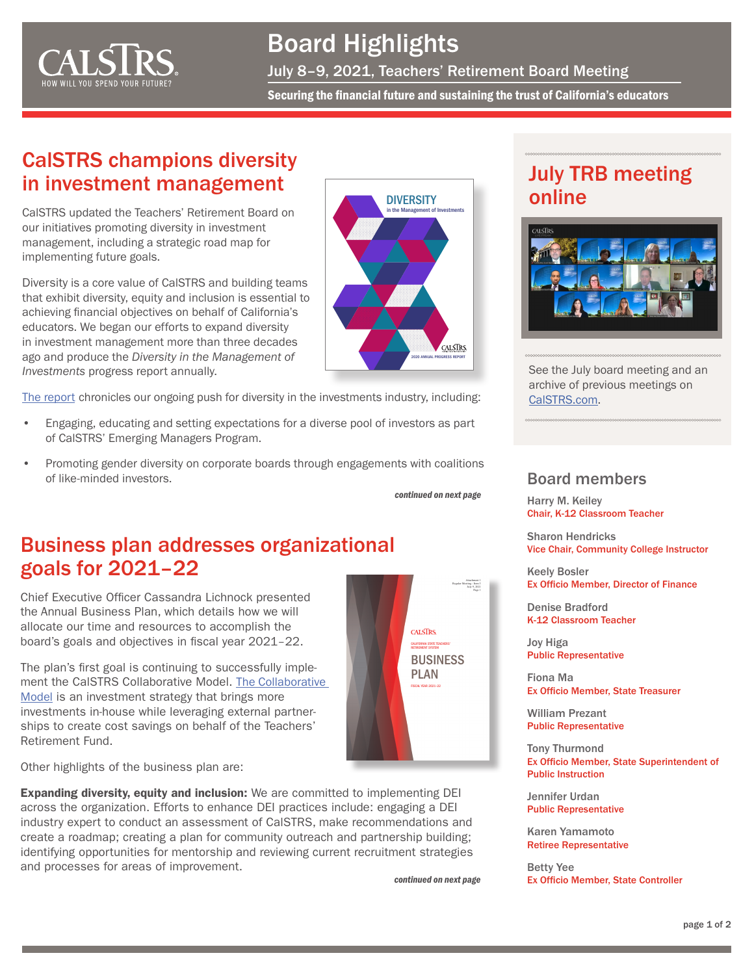<span id="page-0-0"></span>

# Board Highlights

July 8–9, 2021, Teachers' Retirement Board Meeting

Securing the financial future and sustaining the trust of California's educators

### CalSTRS champions diversity in investment management

CalSTRS updated the Teachers' Retirement Board on our initiatives promoting diversity in investment management, including a strategic road map for implementing future goals.

Diversity is a core value of CalSTRS and building teams that exhibit diversity, equity and inclusion is essential to achieving financial objectives on behalf of California's educators. We began our efforts to expand diversity in investment management more than three decades ago and produce the *Diversity in the Management of Investments* progress report annually.

[The report](https://resources.calstrs.com/publicdocs/Page/CommonPage.aspx?PageName=DocumentDownload&Id=dda97b1b-dd6e-41f6-9f03-80ab4cfbd57e) chronicles our ongoing push for diversity in the investments industry, including:

- Engaging, educating and setting expectations for a diverse pool of investors as part of CalSTRS' Emerging Managers Program.
- Promoting gender diversity on corporate boards through engagements with coalitions of like-minded investors.

*[continued on next page](#page-1-0)*

### Business plan addresses organizational goals for 2021–22

Chief Executive Officer Cassandra Lichnock presented the [Annual Business Plan](https://resources.calstrs.com/publicdocs/Page/CommonPage.aspx?PageName=DocumentDownload&Id=be1e5df6-d004-4eb4-9a0d-c7c430135518), which details how we will allocate our time and resources to accomplish the board's goals and objectives in fiscal year 2021–22.

The plan's first goal is continuing to successfully implement the CalSTRS Collaborative Model. [The Collaborative](https://www.calstrs.com/video/collaborative-model)  [Model](https://www.calstrs.com/video/collaborative-model) is an investment strategy that brings more investments in-house while leveraging external partnerships to create cost savings on behalf of the Teachers' Retirement Fund.



Other highlights of the business plan are:

Expanding diversity, equity and inclusion: We are committed to implementing DEI across the organization. Efforts to enhance DEI practices include: engaging a DEI industry expert to conduct an assessment of CalSTRS, make recommendations and create a roadmap; creating a plan for community outreach and partnership building; identifying opportunities for mentorship and reviewing current recruitment strategies and processes for areas of improvement.

*[continued on next page](#page-1-0)*

### July TRB meeting online



See the July board meeting and an archive of previous meetings on [CalSTRS.com.](https://www.calstrs.com/board-meeting-video-archive)

### Board members

Harry M. Keiley Chair, K-12 Classroom Teacher

Sharon Hendricks Vice Chair, Community College Instructor

Keely Bosler Ex Officio Member, Director of Finance

Denise Bradford K-12 Classroom Teacher

Joy Higa Public Representative

Fiona Ma Ex Officio Member, State Treasurer

William Prezant Public Representative

Tony Thurmond Ex Officio Member, State Superintendent of Public Instruction

Jennifer Urdan Public Representative

Karen Yamamoto Retiree Representative

Betty Yee Ex Officio Member, State Controller